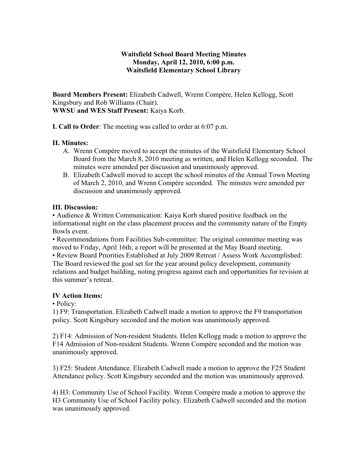# **Waitsfield School Board Meeting Minutes Monday, April 12, 2010, 6:00 p.m. Waitsfield Elementary School Library**

**Board Members Present:** Elizabeth Cadwell, Wrenn Compère, Helen Kellogg, Scott Kingsbury and Rob Williams (Chair). **WWSU and WES Staff Present:** Kaiya Korb.

**I. Call to Order**: The meeting was called to order at 6:07 p.m.

# **II. Minutes:**

- A. Wrenn Compère moved to accept the minutes of the Waitsfield Elementary School Board from the March 8, 2010 meeting as written, and Helen Kellogg seconded. The minutes were amended per discussion and unanimously approved.
- B. Elizabeth Cadwell moved to accept the school minutes of the Annual Town Meeting of March 2, 2010, and Wrenn Compère seconded. The minutes were amended per discussion and unanimously approved.

### **III. Discussion:**

• Audience & Written Communication: Kaiya Korb shared positive feedback on the informational night on the class placement process and the community nature of the Empty Bowls event.

• Recommendations from Facilities Sub-committee: The original committee meeting was moved to Friday, April 16th; a report will be presented at the May Board meeting.

• Review Board Priorities Established at July 2009 Retreat / Assess Work Accomplished: The Board reviewed the goal set for the year around policy development, community relations and budget building, noting progress against each and opportunities for revision at this summer's retreat.

### **IV Action Items:**

• Policy:

1) F9: Transportation. Elizabeth Cadwell made a motion to approve the F9 transportation policy. Scott Kingsbury seconded and the motion was unanimously approved.

2) F14: Admission of Non-resident Students. Helen Kellogg made a motion to approve the F14 Admission of Non-resident Students. Wrenn Compère seconded and the motion was unanimously approved.

3) F25: Student Attendance. Elizabeth Cadwell made a motion to approve the F25 Student Attendance policy. Scott Kingsbury seconded and the motion was unanimously approved.

4) H3: Community Use of School Facility. Wrenn Compère made a motion to approve the H3 Community Use of School Facility policy. Elizabeth Cadwell seconded and the motion was unanimously approved.